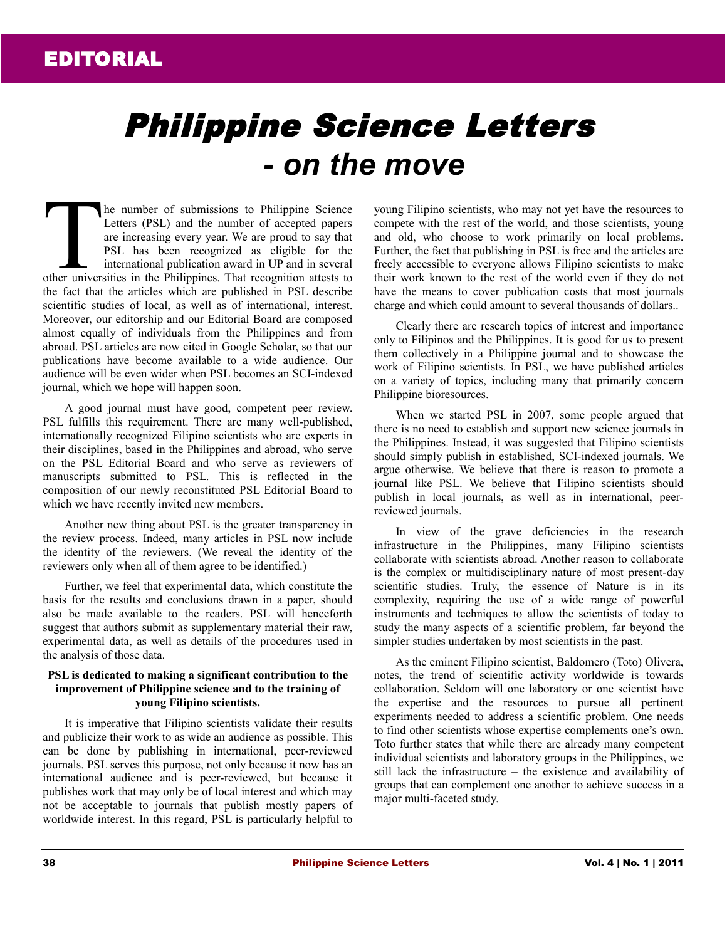## Philippine Science Letters *- on the move*

he number of submissions to Philippine Science Letters (PSL) and the number of accepted papers are increasing every year. We are proud to say that PSL has been recognized as eligible for the international publication award in UP and in several The number of submissions to Philippine Science<br>Letters (PSL) and the number of accepted papers<br>are increasing every year. We are proud to say that<br>PSL has been recognized as eligible for the<br>international publication awar the fact that the articles which are published in PSL describe scientific studies of local, as well as of international, interest. Moreover, our editorship and our Editorial Board are composed almost equally of individuals from the Philippines and from abroad. PSL articles are now cited in Google Scholar, so that our publications have become available to a wide audience. Our audience will be even wider when PSL becomes an SCI-indexed journal, which we hope will happen soon.

A good journal must have good, competent peer review. PSL fulfills this requirement. There are many well-published, internationally recognized Filipino scientists who are experts in their disciplines, based in the Philippines and abroad, who serve on the PSL Editorial Board and who serve as reviewers of manuscripts submitted to PSL. This is reflected in the composition of our newly reconstituted PSL Editorial Board to which we have recently invited new members.

Another new thing about PSL is the greater transparency in the review process. Indeed, many articles in PSL now include the identity of the reviewers. (We reveal the identity of the reviewers only when all of them agree to be identified.)

Further, we feel that experimental data, which constitute the basis for the results and conclusions drawn in a paper, should also be made available to the readers. PSL will henceforth suggest that authors submit as supplementary material their raw, experimental data, as well as details of the procedures used in the analysis of those data.

## **PSL is dedicated to making a significant contribution to the improvement of Philippine science and to the training of young Filipino scientists.**

It is imperative that Filipino scientists validate their results and publicize their work to as wide an audience as possible. This can be done by publishing in international, peer-reviewed journals. PSL serves this purpose, not only because it now has an international audience and is peer-reviewed, but because it publishes work that may only be of local interest and which may not be acceptable to journals that publish mostly papers of worldwide interest. In this regard, PSL is particularly helpful to

young Filipino scientists, who may not yet have the resources to compete with the rest of the world, and those scientists, young and old, who choose to work primarily on local problems. Further, the fact that publishing in PSL is free and the articles are freely accessible to everyone allows Filipino scientists to make their work known to the rest of the world even if they do not have the means to cover publication costs that most journals charge and which could amount to several thousands of dollars..

Clearly there are research topics of interest and importance only to Filipinos and the Philippines. It is good for us to present them collectively in a Philippine journal and to showcase the work of Filipino scientists. In PSL, we have published articles on a variety of topics, including many that primarily concern Philippine bioresources.

When we started PSL in 2007, some people argued that there is no need to establish and support new science journals in the Philippines. Instead, it was suggested that Filipino scientists should simply publish in established, SCI-indexed journals. We argue otherwise. We believe that there is reason to promote a journal like PSL. We believe that Filipino scientists should publish in local journals, as well as in international, peerreviewed journals.

In view of the grave deficiencies in the research infrastructure in the Philippines, many Filipino scientists collaborate with scientists abroad. Another reason to collaborate is the complex or multidisciplinary nature of most present-day scientific studies. Truly, the essence of Nature is in its complexity, requiring the use of a wide range of powerful instruments and techniques to allow the scientists of today to study the many aspects of a scientific problem, far beyond the simpler studies undertaken by most scientists in the past.

As the eminent Filipino scientist, Baldomero (Toto) Olivera, notes, the trend of scientific activity worldwide is towards collaboration. Seldom will one laboratory or one scientist have the expertise and the resources to pursue all pertinent experiments needed to address a scientific problem. One needs to find other scientists whose expertise complements one's own. Toto further states that while there are already many competent individual scientists and laboratory groups in the Philippines, we still lack the infrastructure – the existence and availability of groups that can complement one another to achieve success in a major multi-faceted study.